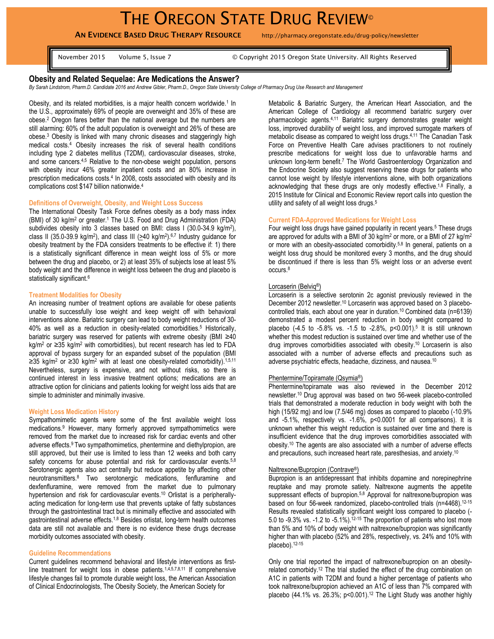**AN EVIDENCE BASED DRUG THERAPY RESOURCE** http://pharmacy.oregonstate.edu/drug-policy/newsletter

November 2015 Volume 5, Issue 7 © Copyright 2015 Oregon State University. All Rights Reserved

# **Obesity and Related Sequelae: Are Medications the Answer?**

*By Sarah Lindstrom, Pharm.D. Candidate 2016 and Andrew Gibler, Pharm.D., Oregon State University College of Pharmacy Drug Use Research and Management* 

Obesity, and its related morbidities, is a major health concern worldwide.<sup>1</sup> In the U.S., approximately 69% of people are overweight and 35% of these are obese.<sup>2</sup> Oregon fares better than the national average but the numbers are still alarming: 60% of the adult population is overweight and 26% of these are obese. <sup>3</sup> Obesity is linked with many chronic diseases and staggeringly high medical costs.<sup>4</sup> Obesity increases the risk of several health conditions including type 2 diabetes mellitus (T2DM), cardiovascular diseases, stroke, and some cancers.4,5 Relative to the non-obese weight population, persons with obesity incur 46% greater inpatient costs and an 80% increase in prescription medications costs. 4 In 2008, costs associated with obesity and its complications cost \$147 billion nationwide. 4

# **Definitions of Overweight, Obesity, and Weight Loss Success**

The International Obesity Task Force defines obesity as a body mass index (BMI) of 30 kg/m<sup>2</sup> or greater.<sup>1</sup> The U.S. Food and Drug Administration (FDA) subdivides obesity into 3 classes based on BMI: class I (30.0-34.9 kg/m<sup>2</sup>), class II (35.0-39.9 kg/m<sup>2</sup>), and class III ( $\geq$ 40 kg/m<sup>2</sup>).<sup>6,7</sup> Industry guidance for obesity treatment by the FDA considers treatments to be effective if: 1) there is a statistically significant difference in mean weight loss of 5% or more between the drug and placebo, or 2) at least 35% of subjects lose at least 5% body weight and the difference in weight loss between the drug and placebo is statistically significant.<sup>6</sup>

### **Treatment Modalities for Obesity**

An increasing number of treatment options are available for obese patients unable to successfully lose weight and keep weight off with behavioral interventions alone. Bariatric surgery can lead to body weight reductions of 30- 40% as well as a reduction in obesity-related comorbidities.<sup>5</sup> Historically, bariatric surgery was reserved for patients with extreme obesity (BMI ≥40 kg/m<sup>2</sup> or ≥35 kg/m<sup>2</sup> with comorbidities), but recent research has led to FDA approval of bypass surgery for an expanded subset of the population (BMI ≥35 kg/m<sup>2</sup> or ≥30 kg/m<sup>2</sup> with at least one obesity-related comorbidity).<sup>1,5,11</sup> Nevertheless, surgery is expensive, and not without risks, so there is continued interest in less invasive treatment options; medications are an attractive option for clinicians and patients looking for weight loss aids that are simple to administer and minimally invasive.

## **Weight Loss Medication History**

Sympathomimetic agents were some of the first available weight loss medications.<sup>9</sup> However, many formerly approved sympathomimetics were removed from the market due to increased risk for cardiac events and other adverse effects.<sup>9</sup> Two sympathomimetics, phentermine and diethylpropion, are still approved, but their use is limited to less than 12 weeks and both carry safety concerns for abuse potential and risk for cardiovascular events.<sup>5,8</sup> Serotonergic agents also act centrally but reduce appetite by affecting other neurotransmitters.<sup>8</sup> Two serotonergic medications, fenfluramine and dexfenfluramine, were removed from the market due to pulmonary hypertension and risk for cardiovascular events. <sup>10</sup> Orlistat is a peripherallyacting medication for long-term use that prevents uptake of fatty substances through the gastrointestinal tract but is minimally effective and associated with gastrointestinal adverse effects.<sup>1,8</sup> Besides orlistat, long-term health outcomes data are still not available and there is no evidence these drugs decrease morbidity outcomes associated with obesity.

### **Guideline Recommendations**

Current guidelines recommend behavioral and lifestyle interventions as firstline treatment for weight loss in obese patients.<sup>1,4,5,7,8,11</sup> If comprehensive lifestyle changes fail to promote durable weight loss, the American Association of Clinical Endocrinologists, The Obesity Society, the American Society for

Metabolic & Bariatric Surgery, the American Heart Association, and the American College of Cardiology all recommend bariatric surgery over pharmacologic agents. 4,11 Bariatric surgery demonstrates greater weight loss, improved durability of weight loss, and improved surrogate markers of metabolic disease as compared to weight loss drugs.<sup>4,11</sup> The Canadian Task Force on Preventive Health Care advises practitioners to not routinely prescribe medications for weight loss due to unfavorable harms and unknown long-term benefit.<sup>7</sup> The World Gastroenterology Organization and the Endocrine Society also suggest reserving these drugs for patients who cannot lose weight by lifestyle interventions alone, with both organizations acknowledging that these drugs are only modestly effective.<sup>1,8</sup> Finally, a 2015 Institute for Clinical and Economic Review report calls into question the utility and safety of all weight loss drugs. 5

### **Current FDA-Approved Medications for Weight Loss**

Four weight loss drugs have gained popularity in recent years. <sup>5</sup> These drugs are approved for adults with a BMI of 30 kg/m<sup>2</sup> or more, or a BMI of 27 kg/m<sup>2</sup> or more with an obesity-associated comorbidity.5,8 In general, patients on a weight loss drug should be monitored every 3 months, and the drug should be discontinued if there is less than 5% weight loss or an adverse event occurs.<sup>8</sup>

#### Lorcaserin (Belviq®)

Lorcaserin is a selective serotonin 2c agonist previously reviewed in the December 2012 newsletter.<sup>10</sup> Lorcaserin was approved based on 3 placebocontrolled trials, each about one year in duration. <sup>10</sup>Combined data (n=6139) demonstrated a modest percent reduction in body weight compared to placebo (-4.5 to -5.8% vs. -1.5 to -2.8%, p<0.001). 5 It is still unknown whether this modest reduction is sustained over time and whether use of the drug improves comorbidities associated with obesity. <sup>10</sup> Lorcaserin is also associated with a number of adverse effects and precautions such as adverse psychiatric effects, headache, dizziness, and nausea. 10

#### Phentermine/Topiramate (Qsymia ®)

Phentermine/topiramate was also reviewed in the December 2012 newsletter. <sup>10</sup> Drug approval was based on two 56-week placebo-controlled trials that demonstrated a moderate reduction in body weight with both the high (15/92 mg) and low (7.5/46 mg) doses as compared to placebo (-10.9% and -5.1%, respectively vs. -1.6%, p<0.0001 for all comparisons). It is unknown whether this weight reduction is sustained over time and there is insufficient evidence that the drug improves comorbidities associated with obesity.<sup>10</sup> The agents are also associated with a number of adverse effects and precautions, such increased heart rate, paresthesias, and anxiety. 10

# Naltrexone/Bupropion (Contrave®)

Bupropion is an antidepressant that inhibits dopamine and norepinephrine reuptake and may promote satiety. Naltrexone augments the appetite suppressant effects of bupropion.<sup>5,8</sup> Approval for naltrexone/bupropion was based on four 56-week randomized, placebo-controlled trials (n=4468). 12-15 Results revealed statistically significant weight loss compared to placebo (- 5.0 to -9.3% vs. -1.2 to -5.1%).<sup>12-15</sup> The proportion of patients who lost more than 5% and 10% of body weight with naltrexone/bupropion was significantly higher than with placebo (52% and 28%, respectively, vs. 24% and 10% with placebo).12-15

Only one trial reported the impact of naltrexone/bupropion on an obesityrelated comorbidy.<sup>12</sup> The trial studied the effect of the drug combination on A1C in patients with T2DM and found a higher percentage of patients who took naltrexone/bupropion achieved an A1C of less than 7% compared with placebo (44.1% vs. 26.3%; p<0.001).<sup>12</sup> The Light Study was another highly